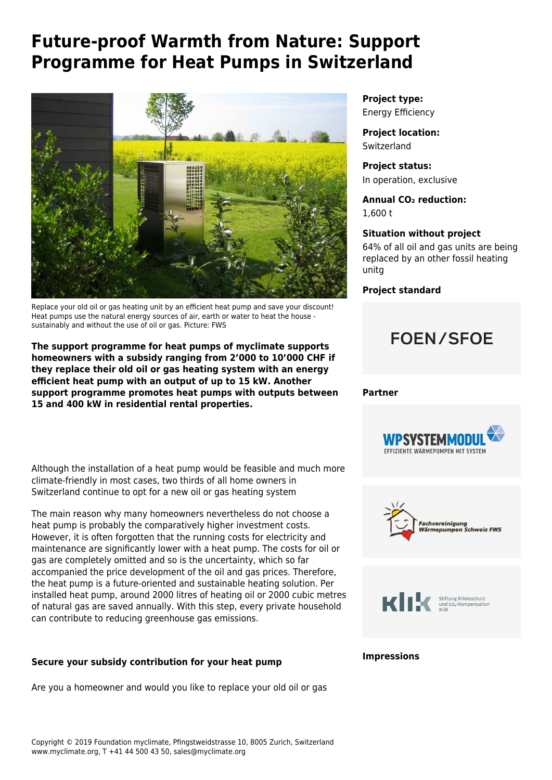# **Future-proof Warmth from Nature: Support Programme for Heat Pumps in Switzerland**



Replace your old oil or gas heating unit by an efficient heat pump and save your discount! Heat pumps use the natural energy sources of air, earth or water to heat the house sustainably and without the use of oil or gas. Picture: FWS

**The support programme for heat pumps of myclimate supports homeowners with a subsidy ranging from 2'000 to 10'000 CHF if they replace their old oil or gas heating system with an energy efficient heat pump with an output of up to 15 kW. [Another](https://www.myclimate.org/information/carbon-offset-projects/detail-carbon-offset-projects/switzerland-energy-efficiency-7828/) [support programme](https://www.myclimate.org/information/carbon-offset-projects/detail-carbon-offset-projects/switzerland-energy-efficiency-7828/) promotes heat pumps with outputs between 15 and 400 kW in residential rental properties.**

Although the installation of a heat pump would be feasible and much more climate-friendly in most cases, two thirds of all home owners in Switzerland continue to opt for a new oil or gas heating system

The main reason why many homeowners nevertheless do not choose a heat pump is probably the comparatively higher investment costs. However, it is often forgotten that the running costs for electricity and maintenance are significantly lower with a heat pump. The costs for oil or gas are completely omitted and so is the uncertainty, which so far accompanied the price development of the oil and gas prices. Therefore, the heat pump is a future-oriented and sustainable heating solution. Per installed heat pump, around 2000 litres of heating oil or 2000 cubic metres of natural gas are saved annually. With this step, every private household can contribute to reducing greenhouse gas emissions.

## **Secure your subsidy contribution for your heat pump**

Are you a homeowner and would you like to replace your old oil or gas

**Project type:** Energy Efficiency

**Project location: Switzerland** 

**Project status:** In operation, exclusive

**Annual CO₂ reduction:** 1,600 t

#### **Situation without project**

64% of all oil and gas units are being replaced by an other fossil heating unitg

**Project standard**

## **FOEN/SFOE**

#### **Partner**







#### **Impressions**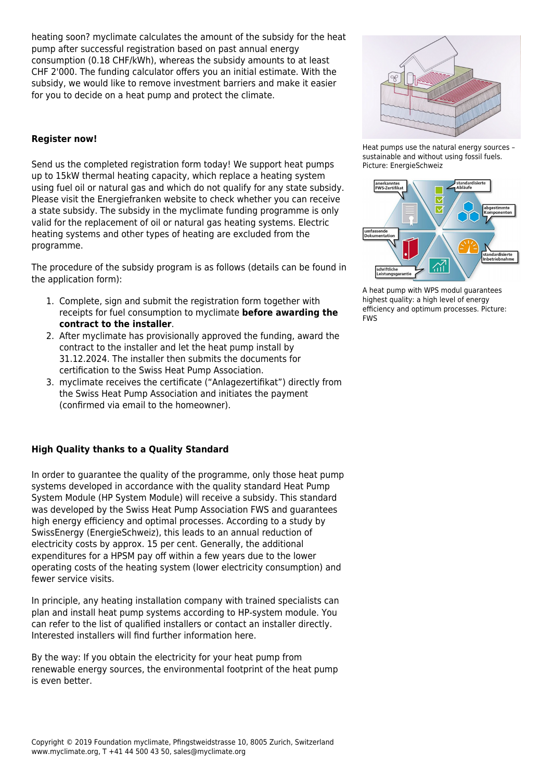heating soon? myclimate calculates the amount of the subsidy for the heat pump after successful registration based on past annual energy consumption (0.18 CHF/kWh), whereas the subsidy amounts to at least CHF 2'000. The [funding calculator](https://www.myclimate.org/get-active/carbon-offset-projects/funding-heat-pumps-pellet/#c11694) offers you an initial estimate. With the subsidy, we would like to remove investment barriers and make it easier for you to decide on a heat pump and protect the climate.

#### **Register now!**

Send us the completed [registration form](https://www.myclimate.org/fileadmin/user_upload/Anmeldeformular-WP-Programm-7816-DE.pdf) today! We support heat pumps up to 15kW thermal heating capacity, which replace a heating system using fuel oil or natural gas and which do not qualify for any state subsidy. Please visit the [Energiefranken](https://www.energie-experten.ch/de/energiefranken.html) website to check whether you can receive a state subsidy. The subsidy in the myclimate funding programme is only valid for the replacement of oil or natural gas heating systems. Electric heating systems and other types of heating are excluded from the programme.

The procedure of the subsidy program is as follows (details can be found in the application form):

- 1. Complete, sign and submit the registration form together with receipts for fuel consumption to myclimate **before awarding the contract to the installer**.
- 2. After myclimate has provisionally approved the funding, award the contract to the installer and let the heat pump install by 31.12.2024. The installer then submits the documents for certification to the Swiss Heat Pump Association.
- 3. myclimate receives the certificate ("Anlagezertifikat") directly from the Swiss Heat Pump Association and initiates the payment (confirmed via email to the homeowner).

## **High Quality thanks to a Quality Standard**

In order to guarantee the quality of the programme, only those heat pump systems developed in accordance with the quality standard [Heat Pump](https://www.wp-systemmodul.ch/de-ch/page/Waermepumpen-System-Modul-Heizung-Energieeffizienz-4) [System Module](https://www.wp-systemmodul.ch/de-ch/page/Waermepumpen-System-Modul-Heizung-Energieeffizienz-4) (HP System Module) will receive a subsidy. This standard was developed by the [Swiss Heat Pump Association FWS](https://www.fws.ch/) and guarantees high energy efficiency and optimal processes. According to a [study by](https://pubdb.bfe.admin.ch/de/publication/download/9508) [SwissEnergy](https://pubdb.bfe.admin.ch/de/publication/download/9508) (EnergieSchweiz), this leads to an annual reduction of electricity costs by approx. 15 per cent. Generally, the additional expenditures for a HPSM pay off within a few years due to the lower operating costs of the heating system (lower electricity consumption) and fewer service visits.

In principle, any heating installation company with trained specialists can plan and install heat pump systems according to HP-system module. You can refer to the [list of qualified installers](https://www.wp-systemmodul.ch/de/page/InstallateurePlaner/Qualifizierte-Installateure-und-Planer-35) or contact an installer directly. Interested installers will find further information [here.](https://www.wp-systemmodul.ch/de-ch/page/Installateure/Vorteile-fuer-Installateure-34)

By the way: If you obtain the electricity for your heat pump from renewable energy sources, the environmental footprint of the heat pump is even better.



Heat pumps use the natural energy sources – sustainable and without using fossil fuels. Picture: EnergieSchweiz



A heat pump with WPS modul guarantees highest quality: a high level of energy efficiency and optimum processes. Picture: FWS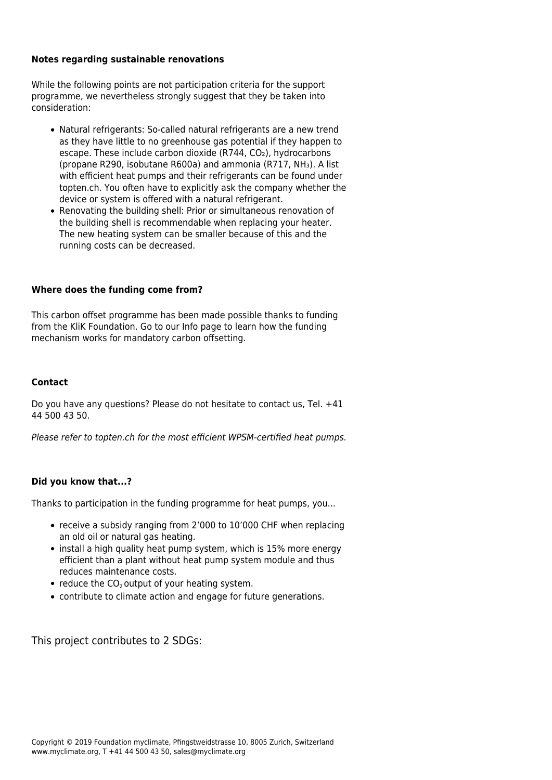#### **Notes regarding sustainable renovations**

While the following points are not participation criteria for the support programme, we nevertheless strongly suggest that they be taken into consideration:

- Natural refrigerants: So-called natural refrigerants are a new trend as they have little to no greenhouse gas potential if they happen to escape. These include carbon dioxide (R744, CO2), hydrocarbons (propane R290, isobutane R600a) and ammonia (R717, NH₃). A list with efficient heat pumps and their refrigerants can be found under topten.ch. You often have to explicitly ask the company whether the device or system is offered with a natural refrigerant.
- Renovating the building shell: Prior or simultaneous renovation of the building shell is recommendable when replacing your heater. The new heating system can be smaller because of this and the running costs can be decreased.

#### **Where does the funding come from?**

This carbon offset programme has been made possible thanks to funding from the [KliK Foundatio](https://www.klik.ch/en)n. Go to our [Info page](https://www.myclimate.org/information/faq/faq-detail/klik/) to learn how the funding mechanism works for mandatory carbon offsetting.

#### **Contact**

Do you have any questions? Please do not hesitate to [contact us](mailto:wp@myclimate.org), Tel. +41 44 500 43 50.

Please refer to [topten.ch](https://www.topten.ch/private/products/heat_pumps) for the most efficient WPSM-certified heat pumps.

#### **Did you know that...?**

Thanks to participation in the funding programme for heat pumps, you...

- receive a subsidy ranging from 2'000 to 10'000 CHF when replacing an old oil or natural gas heating.
- install a high quality heat pump system, which is 15% more energy efficient than a plant without heat pump system module and thus reduces maintenance costs.
- $\bullet$  reduce the CO<sub>2</sub> output of your heating system.
- contribute to climate action and engage for future generations.

This project contributes to 2 SDGs: